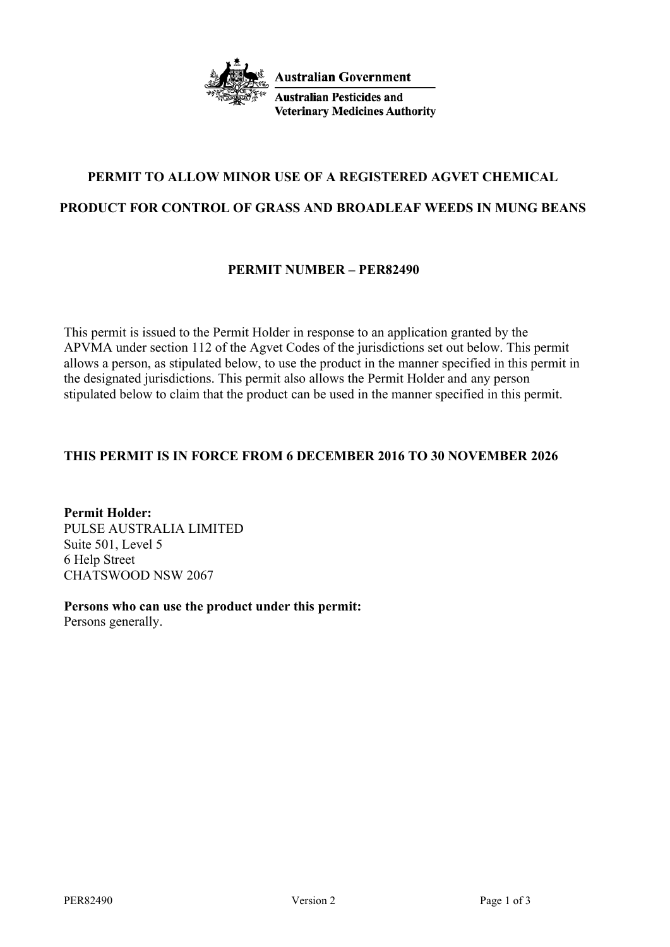

**Australian Government** 

**Australian Pesticides and Veterinary Medicines Authority** 

# **PERMIT TO ALLOW MINOR USE OF A REGISTERED AGVET CHEMICAL**

## **PRODUCT FOR CONTROL OF GRASS AND BROADLEAF WEEDS IN MUNG BEANS**

# **PERMIT NUMBER – PER82490**

This permit is issued to the Permit Holder in response to an application granted by the APVMA under section 112 of the Agvet Codes of the jurisdictions set out below. This permit allows a person, as stipulated below, to use the product in the manner specified in this permit in the designated jurisdictions. This permit also allows the Permit Holder and any person stipulated below to claim that the product can be used in the manner specified in this permit.

# **THIS PERMIT IS IN FORCE FROM 6 DECEMBER 2016 TO 30 NOVEMBER 2026**

**Permit Holder:** PULSE AUSTRALIA LIMITED Suite 501, Level 5 6 Help Street CHATSWOOD NSW 2067

**Persons who can use the product under this permit:**

Persons generally.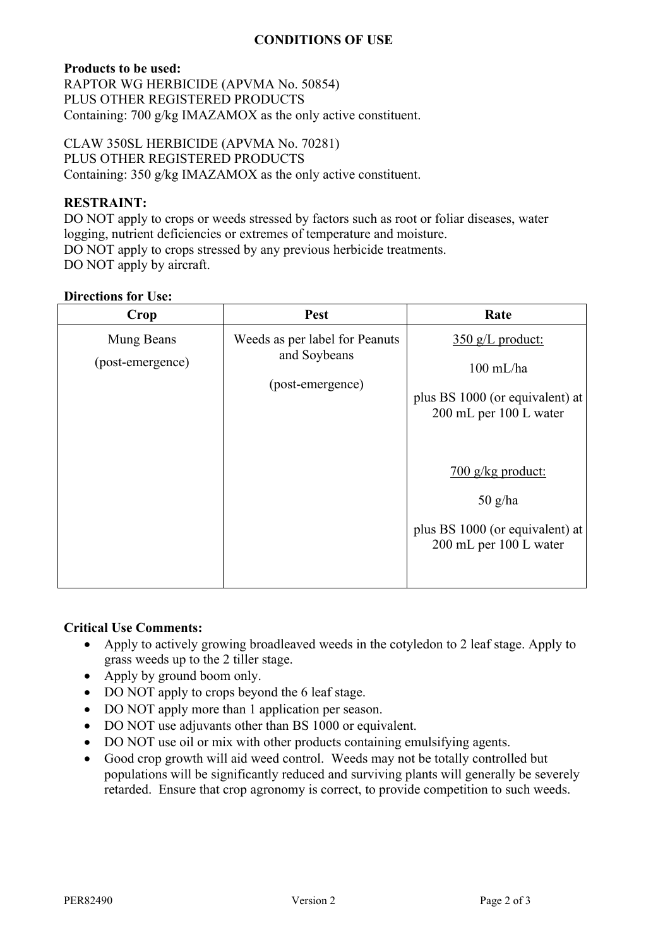### **CONDITIONS OF USE**

#### **Products to be used:**

RAPTOR WG HERBICIDE (APVMA No. 50854) PLUS OTHER REGISTERED PRODUCTS Containing: 700 g/kg IMAZAMOX as the only active constituent.

CLAW 350SL HERBICIDE (APVMA No. 70281) PLUS OTHER REGISTERED PRODUCTS Containing: 350 g/kg IMAZAMOX as the only active constituent.

### **RESTRAINT:**

DO NOT apply to crops or weeds stressed by factors such as root or foliar diseases, water logging, nutrient deficiencies or extremes of temperature and moisture. DO NOT apply to crops stressed by any previous herbicide treatments. DO NOT apply by aircraft.

#### **Directions for Use:**

| Crop                           | Pest                                                               | Rate                                                                                                                                                                                                          |
|--------------------------------|--------------------------------------------------------------------|---------------------------------------------------------------------------------------------------------------------------------------------------------------------------------------------------------------|
| Mung Beans<br>(post-emergence) | Weeds as per label for Peanuts<br>and Soybeans<br>(post-emergence) | $350$ g/L product:<br>$100$ mL/ha<br>plus BS 1000 (or equivalent) at<br>200 mL per 100 L water<br>$\frac{700 \text{ g/kg}$ product:<br>$50$ g/ha<br>plus BS 1000 (or equivalent) at<br>200 mL per 100 L water |

# **Critical Use Comments:**

- Apply to actively growing broadleaved weeds in the cotyledon to 2 leaf stage. Apply to grass weeds up to the 2 tiller stage.
- Apply by ground boom only.
- DO NOT apply to crops beyond the 6 leaf stage.
- DO NOT apply more than 1 application per season.
- DO NOT use adjuvants other than BS 1000 or equivalent.
- DO NOT use oil or mix with other products containing emulsifying agents.
- Good crop growth will aid weed control. Weeds may not be totally controlled but populations will be significantly reduced and surviving plants will generally be severely retarded. Ensure that crop agronomy is correct, to provide competition to such weeds.